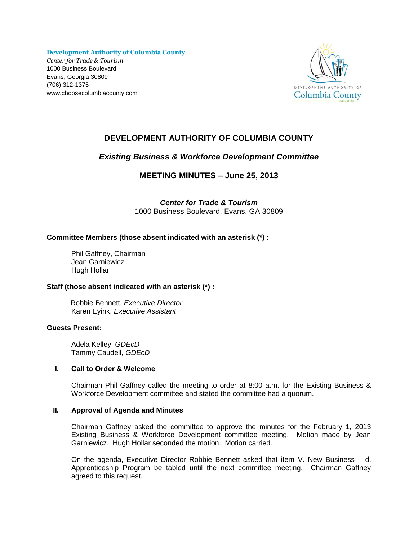**Development Authority of Columbia County** *Center for Trade & Tourism* 1000 Business Boulevard Evans, Georgia 30809 (706) 312-1375 www.choosecolumbiacounty.com



# **DEVELOPMENT AUTHORITY OF COLUMBIA COUNTY**

## *Existing Business & Workforce Development Committee*

**MEETING MINUTES – June 25, 2013**

*Center for Trade & Tourism* 1000 Business Boulevard, Evans, GA 30809

## **Committee Members (those absent indicated with an asterisk (\*) :**

Phil Gaffney, Chairman Jean Garniewicz Hugh Hollar

## **Staff (those absent indicated with an asterisk (\*) :**

 Robbie Bennett, *Executive Director* Karen Eyink, *Executive Assistant*

## **Guests Present:**

Adela Kelley, *GDEcD* Tammy Caudell, *GDEcD* 

## **I. Call to Order & Welcome**

Chairman Phil Gaffney called the meeting to order at 8:00 a.m. for the Existing Business & Workforce Development committee and stated the committee had a quorum.

## **II. Approval of Agenda and Minutes**

Chairman Gaffney asked the committee to approve the minutes for the February 1, 2013 Existing Business & Workforce Development committee meeting. Motion made by Jean Garniewicz. Hugh Hollar seconded the motion. Motion carried.

On the agenda, Executive Director Robbie Bennett asked that item V. New Business – d. Apprenticeship Program be tabled until the next committee meeting. Chairman Gaffney agreed to this request.